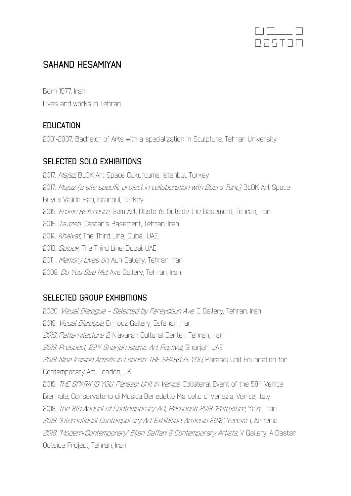

# **SAHAND HESAMIYAN**

Born 1977. Iran Lives and works in Tehran.

## **EDUCATION**

2001-2007. Bachelor of Arts with a specialization in Sculpture, Tehran University

## **SELECTED SOLO EXHIBITIONS**

2017. Majaz, BLOK Art Space Cukurcuma, Istanbul, Turkey 2017. Majaz (a site specific project in collaboration with Busra Tunc), BLOK Art Space Buyuk Valide Han, Istanbul, Turkey 2015. Frame Reference, Sam Art, Dastan's Outside the Basement, Tehran, Iran 2015. Tavizeh, Dastan's Basement, Tehran, Iran 2014. Khalvat, The Third Line, Dubai, UAE 2013. *Sulook*, The Third Line, Dubai, UAE 2011 . Memory Lives on, Aun Gallery, Tehran, Iran 2008. Do You See Me!, Ave Gallery, Tehran, Iran

## **SELECTED GROUP EXHIBITIONS**

2020. Visual Dialogue – Selected by Fereydoun Ave, O Gallery, Tehran, Iran 2019. Visual Dialogue, Emrooz Gallery, Esfahan, Iran 2019. Patternitecture 2, Niavaran Cultural Center, Tehran, Iran 2019. Prospect, 22nd Sharjah Islamic Art Festival, Sharjah, UAE 2019. Nine Iranian Artists in London: THE SPARK IS YOU, Parasol Unit Foundation for Contemporary Art, London, UK 2019. THE SPARK IS YOU: Parasol Unit in Venice, Collateral Event of the 58<sup>th</sup> Venice Biennale, Conservatorio di Musica Benedetto Marcello di Venezia, Venice, Italy 2018. The 8th Annual of Contemporary Art, Perspook 2018 "Retexture, Yazd, Iran 2018. "International Contemporary Art Exhibition: Armenia 2018", Yerevan, Armenia 2018. "Modern*-*Contemporary" Bijan Saffari & Contemporary Artists, V Gallery, A Dastan Outside Project, Tehran, Iran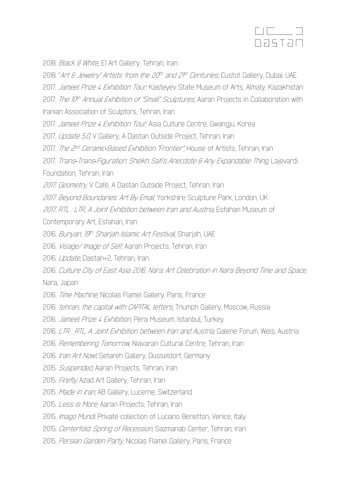

2018. *Black & White*, E1 Art Gallery, Tehran, Iran

2018. "Art & Jewelry" Artists from the 20th and 2<sup>pt</sup> Centuries, Custot Gallery, Dubai, UAE 2017. Jameel Prize 4 Exhibition Tour, Kasteyev State Museum of Arts, Almaty, Kazakhstan 2017. The 10<sup>th</sup> Annual Exhibition of "Small" Sculptures, Aaran Projects in Collaboration with Iranian Association of Sculptors, Tehran, Iran 2017. Jameel Prize 4 Exhibition Tour, Asia Culture Centre, Gwangju, Korea 2017. Update 5.0, V Gallery, A Dastan Outside Project, Tehran, Iran 2017. The 2nd Ceramic*-*Based Exhibition "Frontier", House of Artists, Tehran, Iran 2017. Trans*-*Trans*-*Figuration: Sheikh Safi's Anecdote & Any Expandable Thing, Lajevardi Foundation, Tehran, Iran 2017. Geometry, V Café, A Dastan Outside Project, Tehran, Iran 2017. Beyond Boundaries: Art By Email, Yorkshire Sculpture Park, London, UK 2017. RTL : LTR, A Joint Exhibition between Iran and Austria, Esfahan Museum of Contemporary Art, Esfahan, Iran 2016. Bunyan, 19th Sharjah Islamic Art Festival, Sharjah, UAE 2016. *Visage/ Image of Self,* Aaran Projects, Tehran, Iran 2016. Update, Dastan+2, Tehran, Iran 2016. Culture City of East Asia 2016, Nara: Art Celebration in Nara Beyond Time and Space, Nara, Japan 2016. Time Machine, Nicolas Flamel Gallery, Paris, France 2016. tehran, the capital with CAPITAL letters, Triumph Gallery, Moscow, Russia 2016. Jameel Prize 4 Exhibition, Pera Museum, Istanbul, Turkey 2016. LTR : RTL, A Joint Exhibition between Iran and Austria, Galerie Forum, Wels, Austria 2016. Remembering Tomorrow, Niavaran Cultural Centre, Tehran, Iran 2016. Iran Art Now!, Setareh Gallery, Dusseldorf, Germany

- 2015. Suspended, Aaran Projects, Tehran, Iran
- 2015. Firefly, Azad Art Gallery, Tehran, Iran
- 2015. Made in Iran, AB Gallery, Lucerne, Switzerland
- 2015. Less is More, Aaran Projects, Tehran, Iran
- 2015. *Imago Mundi*, Private collection of Luciano Benetton, Venice, Italy
- 2015. Centerfold: Spring of Recession, Sazmanab Center, Tehran, Iran
- 2015. Persian Garden Party, Nicolas Flamel Gallery, Paris, France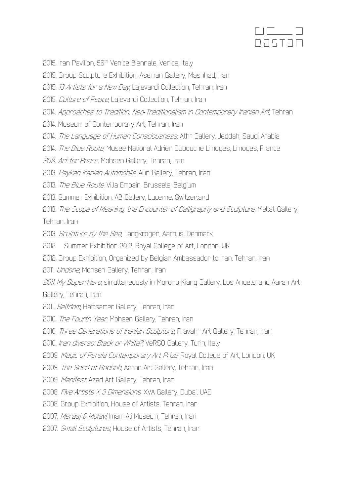

2015. Iran Pavilion, 56<sup>th</sup> Venice Biennale, Venice, Italy

2015. Group Sculpture Exhibition, Aseman Gallery, Mashhad, Iran

2015. *13 Artists for a New Day*, Lajevardi Collection, Tehran, Iran

2015. Culture of Peace, Lajevardi Collection, Tehran, Iran

2014. Approaches to Tradition, Neo*-*Traditionalism in Contemporary Iranian Art, Tehran

2014. Museum of Contemporary Art, Tehran, Iran

2014. The Language of Human Consciousness, Athr Gallery, Jeddah, Saudi Arabia

2014. The Blue Route, Musee National Adrien Dubouche Limoges, Limoges, France

2014. Art for Peace, Mohsen Gallery, Tehran, Iran

2013. Paykan Iranian Automobile, Aun Gallery, Tehran, Iran

2013. The Blue Route, Villa Empain, Brussels, Belgium

2013. Summer Exhibition, AB Gallery, Lucerne, Switzerland

2013. The Scope of Meaning, the Encounter of Calligraphy and Sculpture, Mellat Gallery, Tehran, Iran

2013. Sculpture by the Sea, Tangkrogen, Aarhus, Denmark

2012 Summer Exhibition 2012, Royal College of Art, London, UK

2012. Group Exhibition, Organized by Belgian Ambassador to Iran, Tehran, Iran

2011. *Undone*, Mohsen Gallery, Tehran, Iran

2011. My Super Hero, simultaneously in Morono Kiang Gallery, Los Angels, and Aaran Art Gallery, Tehran, Iran

2011. *Selfdom*, Haftsamer Gallery, Tehran, Iran

2010. The Fourth Year, Mohsen Gallery, Tehran, Iran

2010. Three Generations of Iranian Sculptors, Fravahr Art Gallery, Tehran, Iran

2010. Iran diverso: Black or White?, VeRSO Gallery, Turin, Italy

2009. Magic of Persia Contemporary Art Prize, Royal College of Art, London, UK

2009. The Seed of Baobab, Aaran Art Gallery, Tehran, Iran

2009. Manifest, Azad Art Gallery, Tehran, Iran

2008. Five Artists X 3 Dimensions, XVA Gallery, Dubai, UAE

2008. Group Exhibition, House of Artists, Tehran, Iran

2007. Meraaj & Molavi, Imam Ali Museum, Tehran, Iran

2007. *Small Sculptures*, House of Artists, Tehran, Iran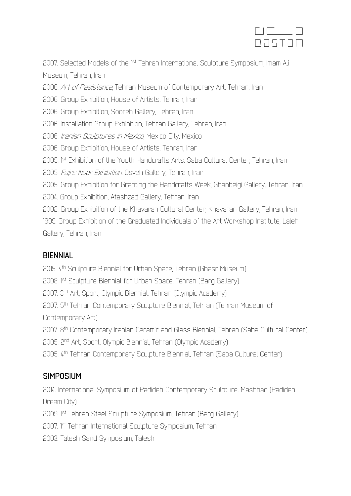

2007. Selected Models of the 1st Tehran International Sculpture Symposium, Imam Ali Museum, Tehran, Iran 2006. Art of Resistance, Tehran Museum of Contemporary Art, Tehran, Iran 2006. Group Exhibition, House of Artists, Tehran, Iran 2006. Group Exhibition, Sooreh Gallery, Tehran, Iran 2006. Installation Group Exhibition, Tehran Gallery, Tehran, Iran 2006. Iranian Sculptures in Mexico, Mexico City, Mexico 2006. Group Exhibition, House of Artists, Tehran, Iran 2005. I<sup>st</sup> Exhibition of the Youth Handcrafts Arts, Saba Cultural Center, Tehran, Iran 2005. Fajre Noor Exhibition, Osveh Gallery, Tehran, Iran 2005. Group Exhibition for Granting the Handcrafts Week, Ghanbeigi Gallery, Tehran, Iran 2004. Group Exhibition, Atashzad Gallery, Tehran, Iran 2002. Group Exhibition of the Khavaran Cultural Center, Khavaran Gallery, Tehran, Iran 1999. Group Exhibition of the Graduated Individuals of the Art Workshop Institute, Laleh Gallery, Tehran, Iran

#### **BIENNIAL**

2015. 4th Sculpture Biennial for Urban Space, Tehran (Ghasr Museum) 2008. I<sup>st</sup> Sculpture Biennial for Urban Space, Tehran (Barg Gallery) 2007. 3rd Art, Sport, Olympic Biennial, Tehran (Olympic Academy) 2007. 5th Tehran Contemporary Sculpture Biennial, Tehran (Tehran Museum of Contemporary Art) 2007. 8th Contemporary Iranian Ceramic and Glass Biennial, Tehran (Saba Cultural Center) 2005. 2nd Art, Sport, Olympic Biennial, Tehran (Olympic Academy) 2005. 4th Tehran Contemporary Sculpture Biennial, Tehran (Saba Cultural Center)

## **SIMPOSIUM**

2014. International Symposium of Padideh Contemporary Sculpture, Mashhad (Padideh Dream City) 2009. I<sup>st</sup> Tehran Steel Sculpture Symposium, Tehran (Barg Gallery) 2007. I<sup>st</sup> Tehran International Sculpture Symposium, Tehran 2003. Talesh Sand Symposium, Talesh